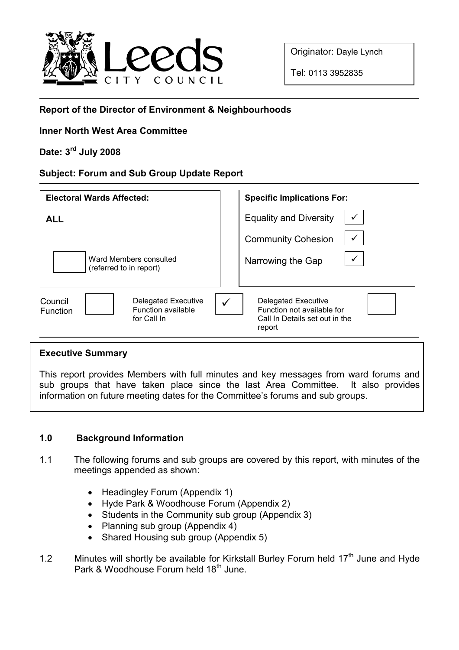

Originator: Dayle Lynch

Tel: 0113 3952835

## Report of the Director of Environment & Neighbourhoods

## Inner North West Area Committee

# Date: 3rd July 2008

#### Subject: Forum and Sub Group Update Report

| <b>Electoral Wards Affected:</b>                                                       | <b>Specific Implications For:</b>                                                                    |
|----------------------------------------------------------------------------------------|------------------------------------------------------------------------------------------------------|
| <b>ALL</b>                                                                             | <b>Equality and Diversity</b>                                                                        |
|                                                                                        | <b>Community Cohesion</b>                                                                            |
| Ward Members consulted<br>(referred to in report)                                      | Narrowing the Gap                                                                                    |
| Delegated Executive<br>Council<br><b>Function available</b><br>Function<br>for Call In | <b>Delegated Executive</b><br>Function not available for<br>Call In Details set out in the<br>report |

#### Executive Summary

This report provides Members with full minutes and key messages from ward forums and sub groups that have taken place since the last Area Committee. It also provides information on future meeting dates for the Committee's forums and sub groups.

## 1.0 Background Information

- 1.1 The following forums and sub groups are covered by this report, with minutes of the meetings appended as shown:
	- Headingley Forum (Appendix 1)
	- Hyde Park & Woodhouse Forum (Appendix 2)
	- Students in the Community sub group (Appendix 3)
	- Planning sub group (Appendix 4)
	- Shared Housing sub group (Appendix 5)
- 1.2 Minutes will shortly be available for Kirkstall Burley Forum held 17<sup>th</sup> June and Hyde Park & Woodhouse Forum held 18<sup>th</sup> June.